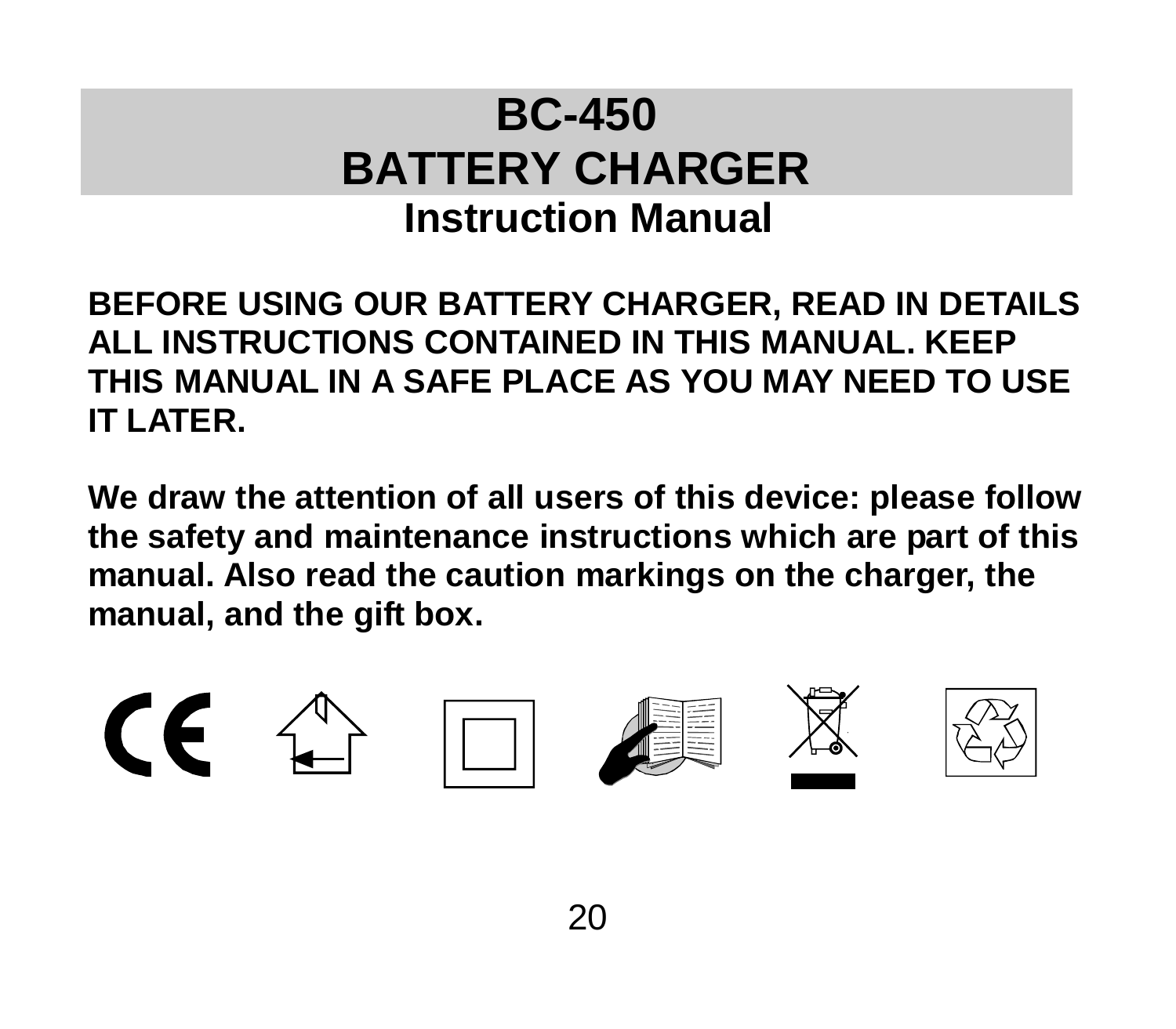# **BC-450 BATTERY CHARGER Instruction Manual**

**BEFORE USING OUR BATTERY CHARGER, READ IN DETAILS ALL INSTRUCTIONS CONTAINED IN THIS MANUAL. KEEP THIS MANUAL IN A SAFE PLACE AS YOU MAY NEED TO USE IT LATER.**

**We draw the attention of all users of this device: please follow the safety and maintenance instructions which are part of this manual. Also read the caution markings on the charger, the manual, and the gift box.**

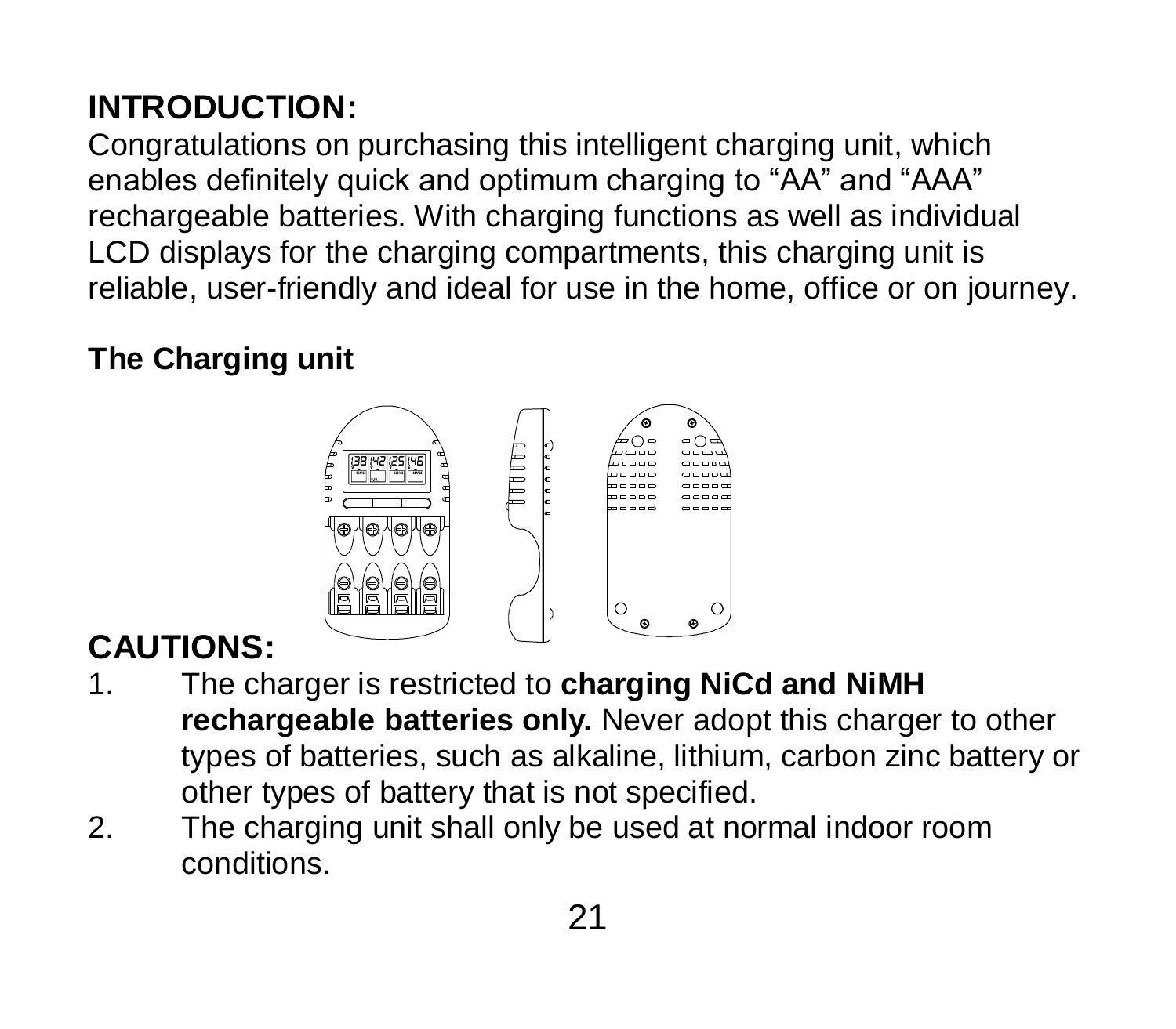### **INTRODUCTION:**

Congratulations on purchasing this intelligent charging unit, which enables definitely quick and optimum charging to "AA" and "AAA" rechargeable batteries. With charging functions as well as individual LCD displays for the charging compartments, this charging unit is reliable, user-friendly and ideal for use in the home, office or on journey.

#### **The Charging unit**



### **CAUTIONS:**

- 1. The charger is restricted to **charging NiCd and NiMH rechargeable batteries only.** Never adopt this charger to other types of batteries, such as alkaline, lithium, carbon zinc battery or other types of battery that is not specified.
- 2. The charging unit shall only be used at normal indoor room conditions.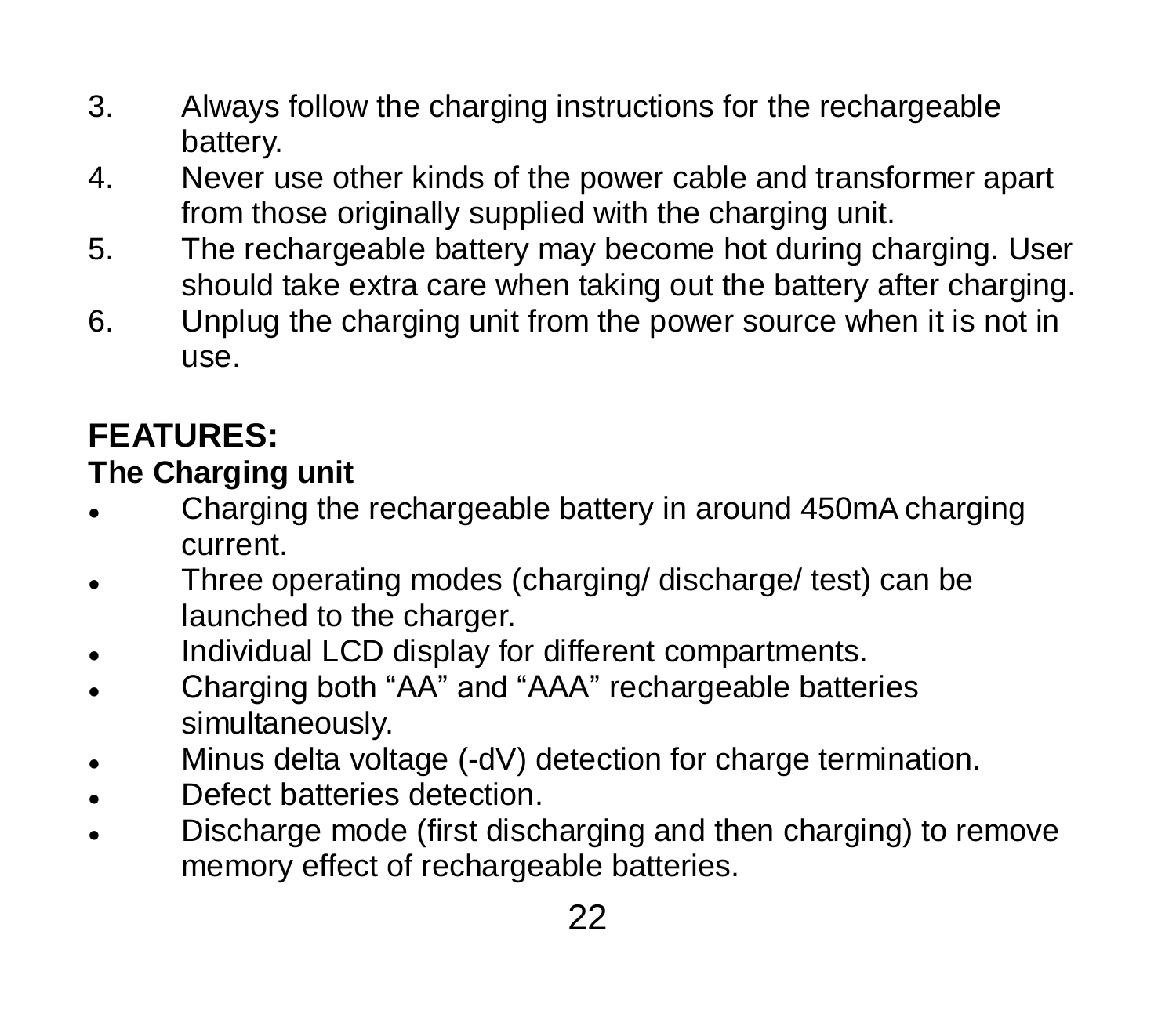- 3. Always follow the charging instructions for the rechargeable battery.
- 4. Never use other kinds of the power cable and transformer apart from those originally supplied with the charging unit.
- 5. The rechargeable battery may become hot during charging. User should take extra care when taking out the battery after charging.
- 6. Unplug the charging unit from the power source when it is not in use.

## **FEATURES:**

#### **The Charging unit**

- Charging the rechargeable battery in around 450mA charging current.
- Three operating modes (charging/ discharge/ test) can be launched to the charger.
- . Individual LCD display for different compartments.
- Charging both "AA" and "AAA" rechargeable batteries simultaneously.
- Minus delta voltage (-dV) detection for charge termination.
- Defect batteries detection.
- Discharge mode (first discharging and then charging) to remove memory effect of rechargeable batteries.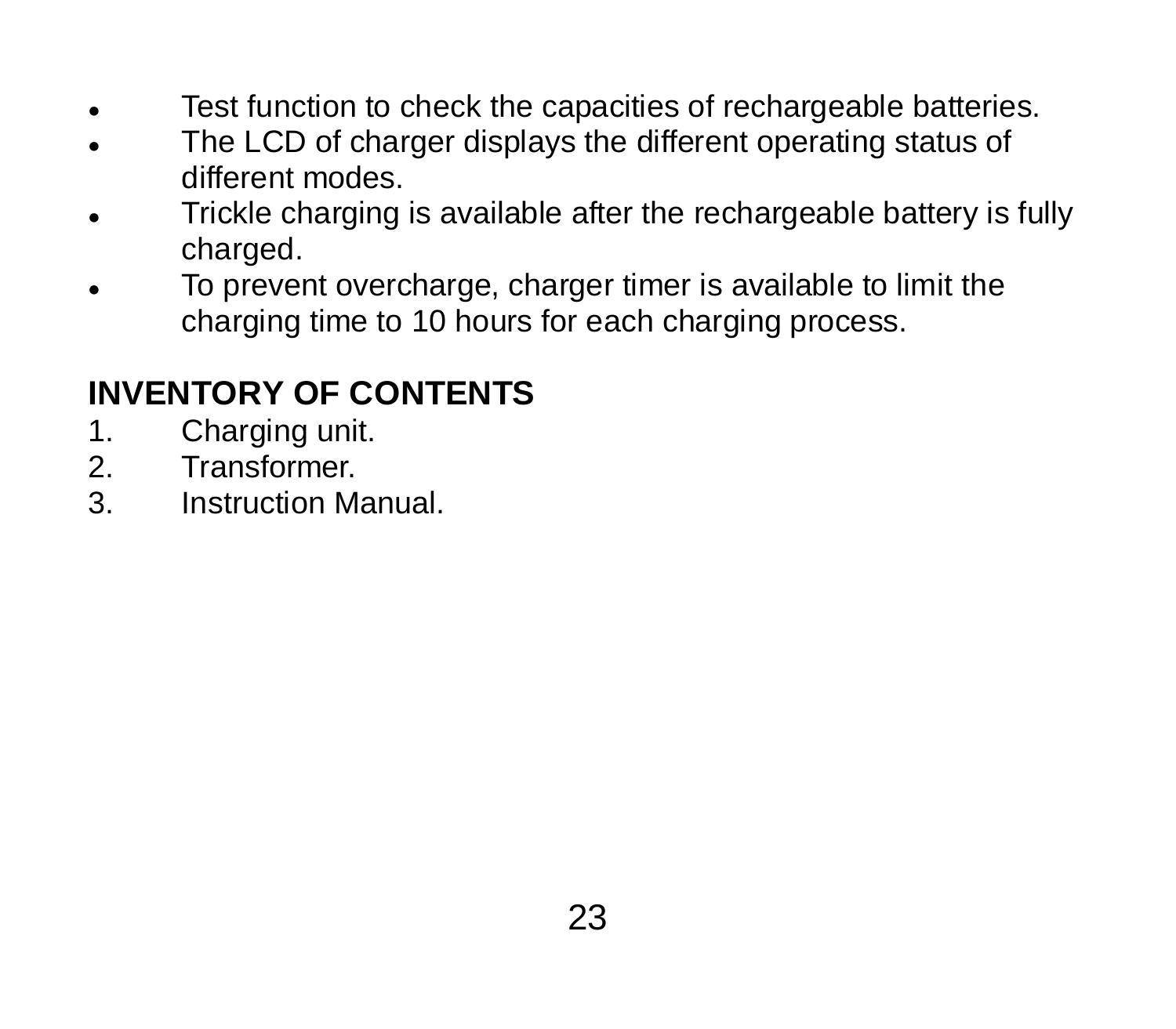- **Test function to check the capacities of rechargeable batteries.**
- The LCD of charger displays the different operating status of different modes.
- Trickle charging is available after the rechargeable battery is fully charged.
- To prevent overcharge, charger timer is available to limit the charging time to 10 hours for each charging process.

## **INVENTORY OF CONTENTS**

- 1. Charging unit.<br>2. Transformer.
- 2. Transformer.<br>3 Instruction M
- Instruction Manual.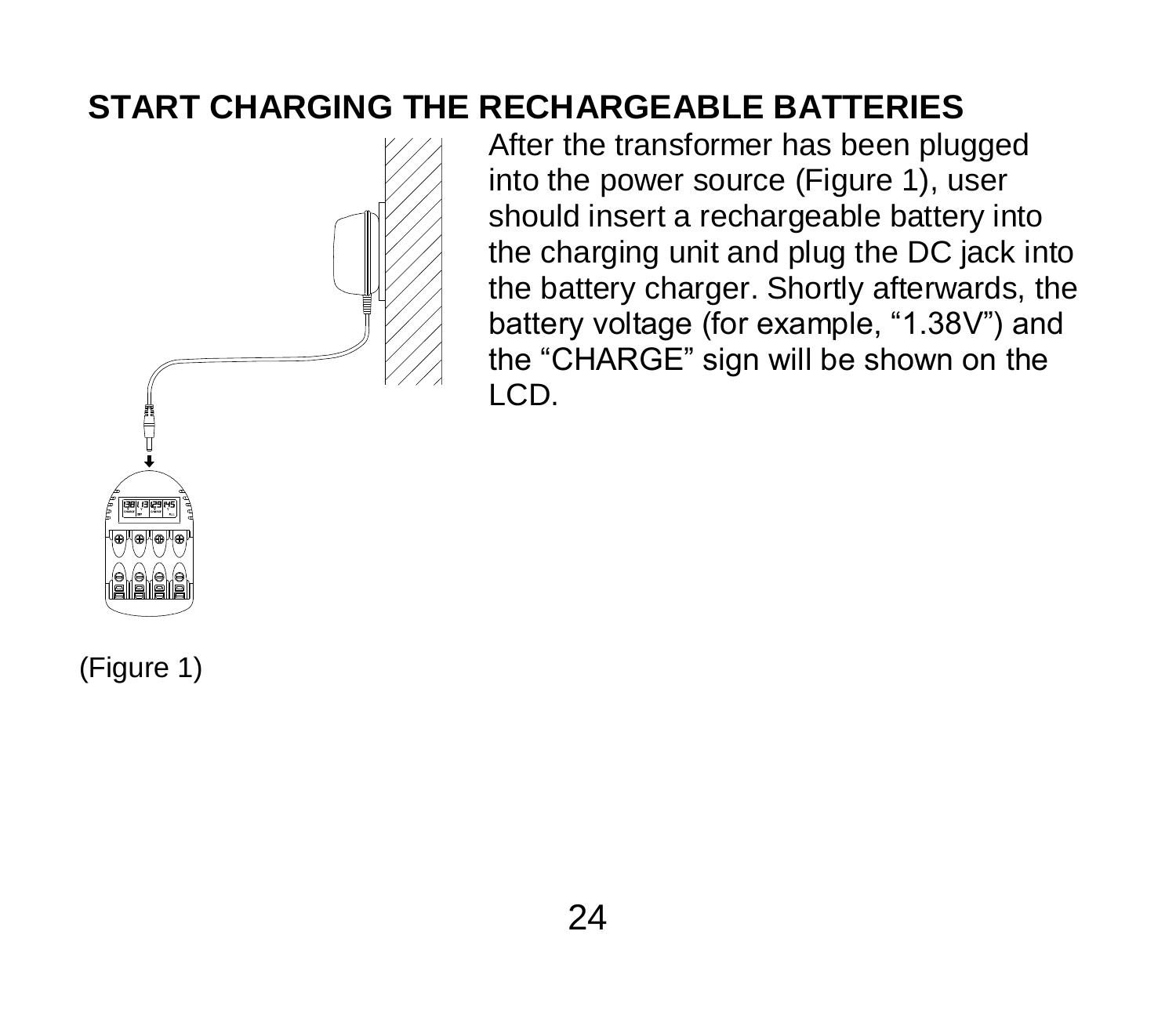#### **START CHARGING THE RECHARGEABLE BATTERIES**



After the transformer has been plugged into the power source (Figure 1), user should insert a rechargeable battery into the charging unit and plug the DC jack into the battery charger. Shortly afterwards, the battery voltage (for example, "1.38V") and the "CHARGE" sign will be shown on the LCD.

(Figure 1)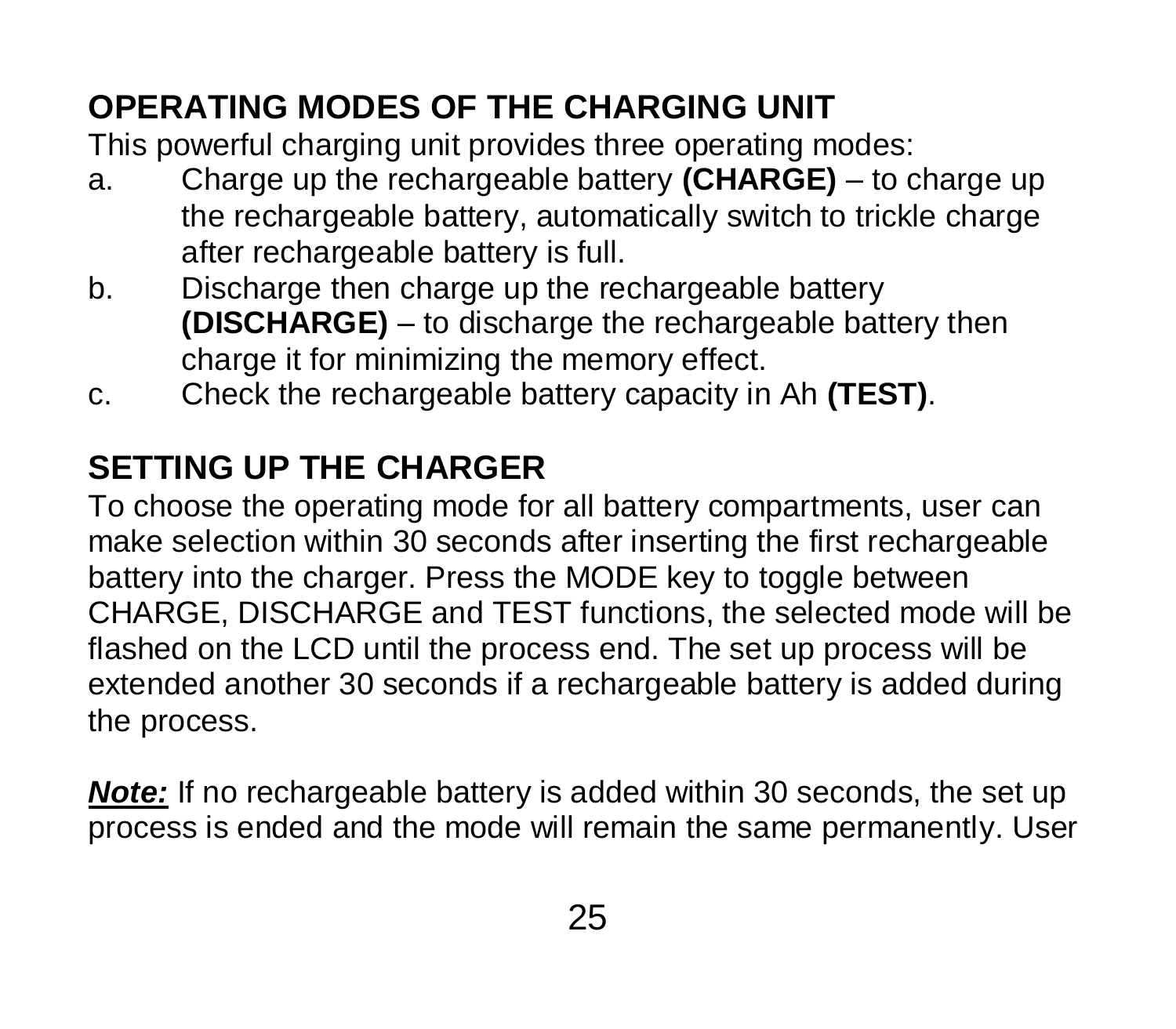## **OPERATING MODES OF THE CHARGING UNIT**

This powerful charging unit provides three operating modes:

- a. Charge up the rechargeable battery **(CHARGE)** to charge up the rechargeable battery, automatically switch to trickle charge after rechargeable battery is full.
- b. Discharge then charge up the rechargeable battery **(DISCHARGE)** – to discharge the rechargeable battery then charge it for minimizing the memory effect.
- c. Check the rechargeable battery capacity in Ah **(TEST)**.

## **SETTING UP THE CHARGER**

To choose the operating mode for all battery compartments, user can make selection within 30 seconds after inserting the first rechargeable battery into the charger. Press the MODE key to toggle between CHARGE, DISCHARGE and TEST functions, the selected mode will be flashed on the LCD until the process end. The set up process will be extended another 30 seconds if a rechargeable battery is added during the process.

*Note:* If no rechargeable battery is added within 30 seconds, the set up process is ended and the mode will remain the same permanently. User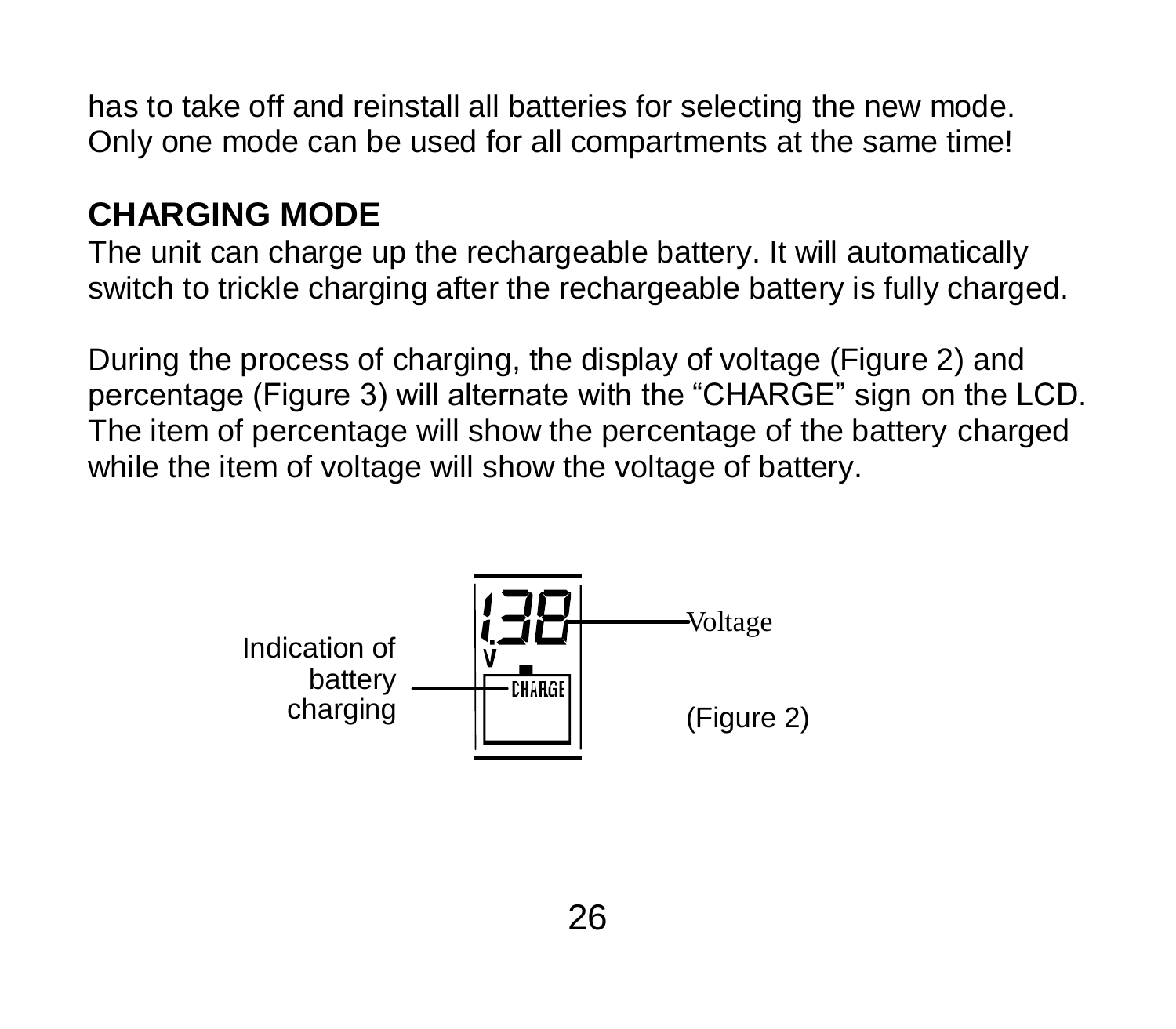has to take off and reinstall all batteries for selecting the new mode. Only one mode can be used for all compartments at the same time!

### **CHARGING MODE**

The unit can charge up the rechargeable battery. It will automatically switch to trickle charging after the rechargeable battery is fully charged.

During the process of charging, the display of voltage (Figure 2) and percentage (Figure 3) will alternate with the "CHARGE" sign on the LCD. The item of percentage will show the percentage of the battery charged while the item of voltage will show the voltage of battery.

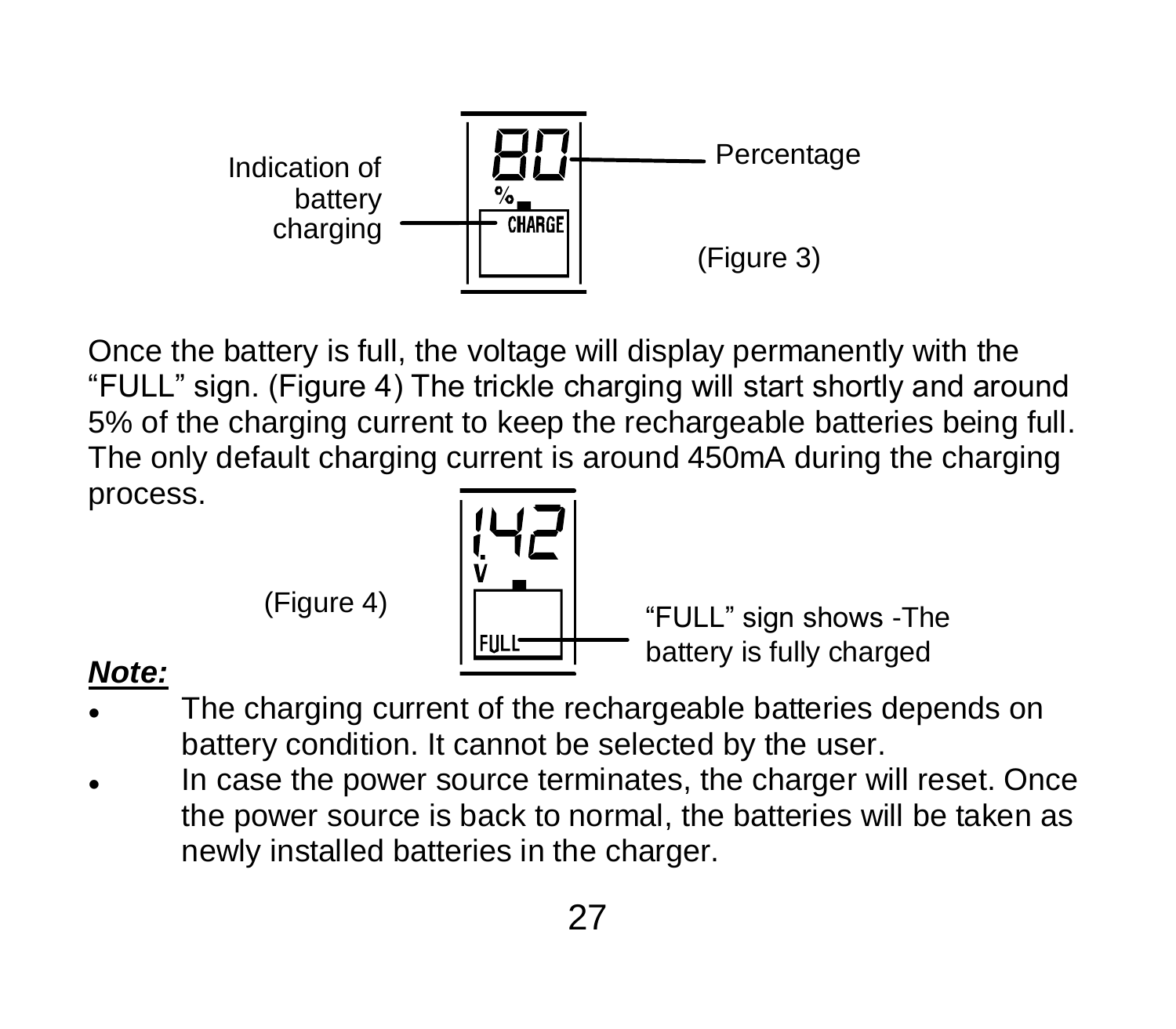

Once the battery is full, the voltage will display permanently with the "FULL" sign. (Figure 4) The trickle charging will start shortly and around 5% of the charging current to keep the rechargeable batteries being full. The only default charging current is around 450mA during the charging process.



(Figure 4) "FULL" sign shows -The battery is fully charged

#### *Note:*

- The charging current of the rechargeable batteries depends on battery condition. It cannot be selected by the user.
- In case the power source terminates, the charger will reset. Once the power source is back to normal, the batteries will be taken as newly installed batteries in the charger.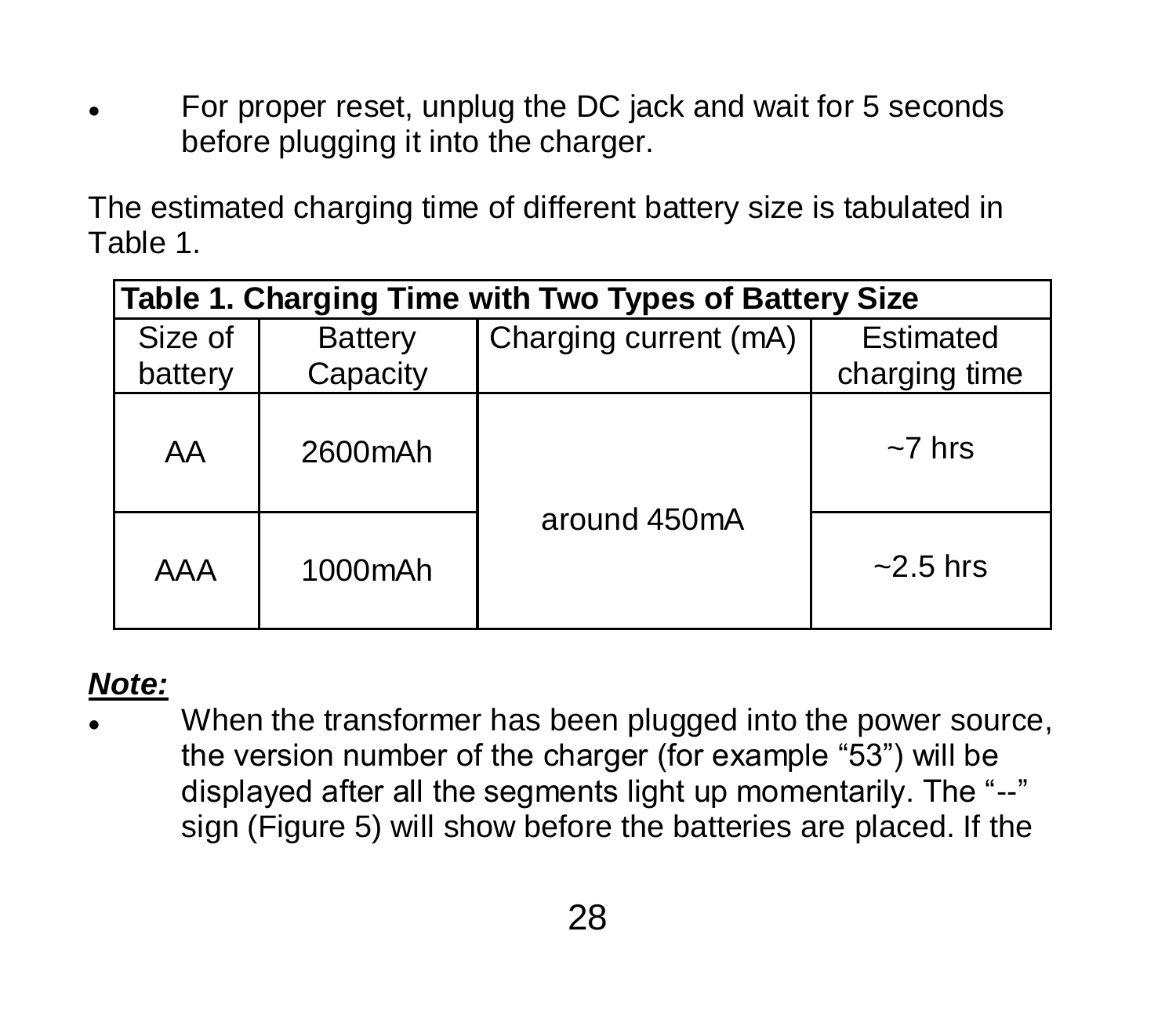For proper reset, unplug the DC jack and wait for 5 seconds before plugging it into the charger.

The estimated charging time of different battery size is tabulated in Table 1.

| Table 1. Charging Time with Two Types of Battery Size |                     |                       |                            |  |
|-------------------------------------------------------|---------------------|-----------------------|----------------------------|--|
| Size of<br>battery                                    | Battery<br>Capacity | Charging current (mA) | Estimated<br>charging time |  |
| AA                                                    | 2600mAh             |                       | $~1$ hrs                   |  |
| AAA                                                   | 1000mAh             | around 450mA          | $-2.5$ hrs                 |  |

#### *Note:*

 When the transformer has been plugged into the power source, the version number of the charger (for example "53") will be displayed after all the segments light up momentarily. The "--" sign (Figure 5) will show before the batteries are placed. If the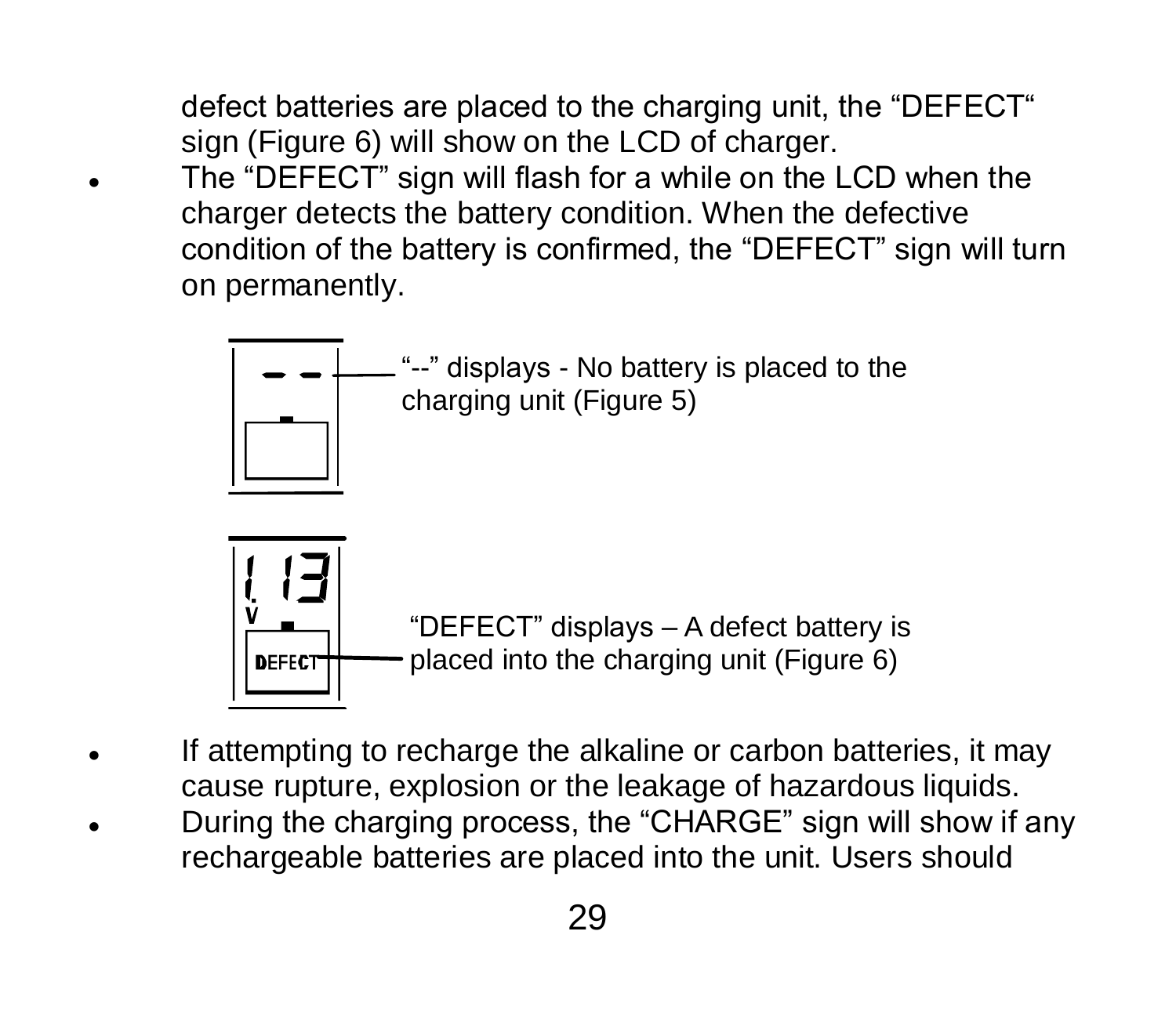defect batteries are placed to the charging unit, the "DEFECT" sign (Figure 6) will show on the LCD of charger.

 The "DEFECT" sign will flash for a while on the LCD when the charger detects the battery condition. When the defective condition of the battery is confirmed, the "DEFECT" sign will turn on permanently.



- If attempting to recharge the alkaline or carbon batteries, it may cause rupture, explosion or the leakage of hazardous liquids.
- During the charging process, the "CHARGE" sign will show if any rechargeable batteries are placed into the unit. Users should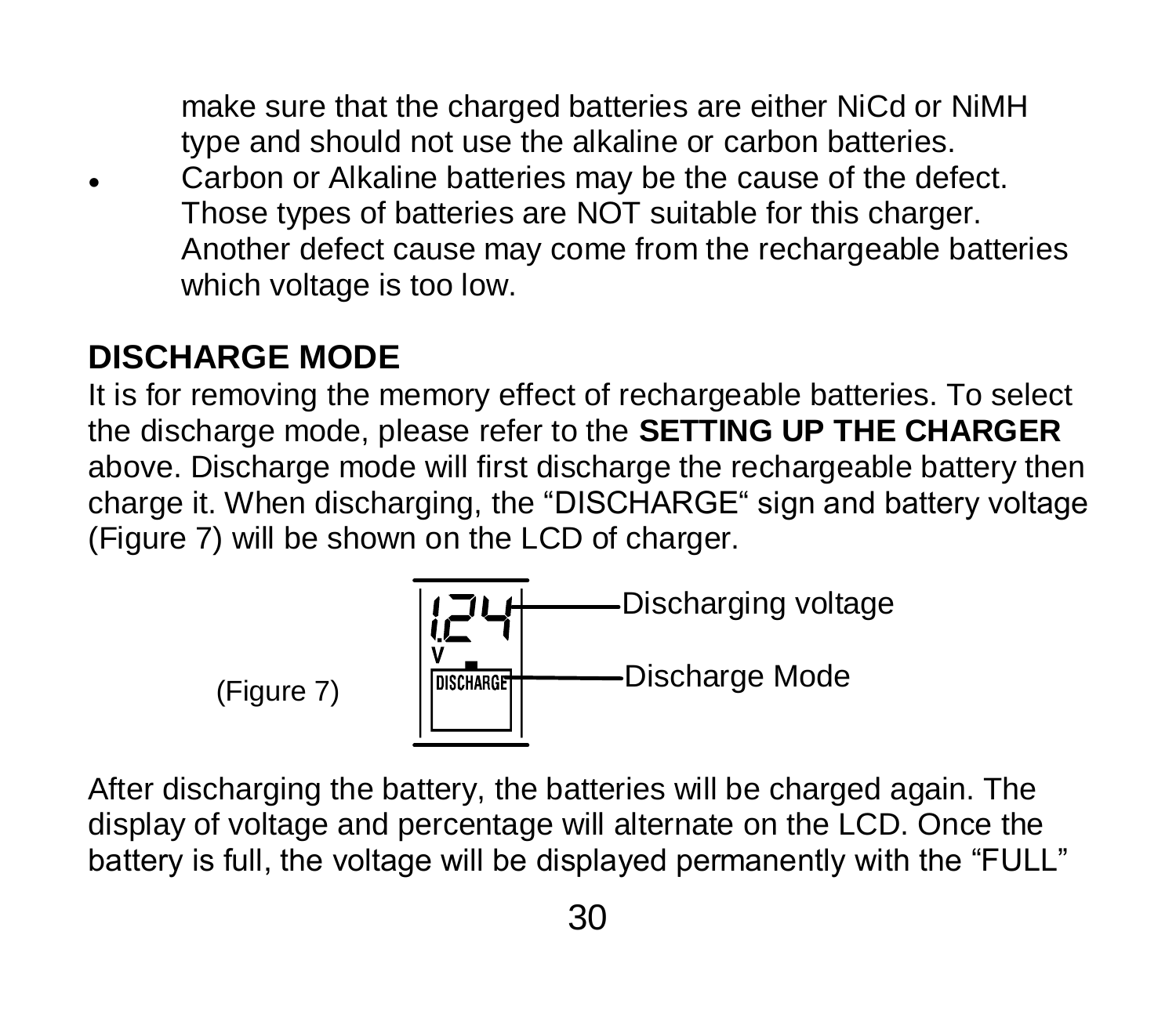make sure that the charged batteries are either NiCd or NiMH type and should not use the alkaline or carbon batteries.

 Carbon or Alkaline batteries may be the cause of the defect. Those types of batteries are NOT suitable for this charger. Another defect cause may come from the rechargeable batteries which voltage is too low.

### **DISCHARGE MODE**

It is for removing the memory effect of rechargeable batteries. To select the discharge mode, please refer to the **SETTING UP THE CHARGER** above. Discharge mode will first discharge the rechargeable battery then charge it. When discharging, the "DISCHARGE" sign and battery voltage (Figure 7) will be shown on the LCD of charger.



After discharging the battery, the batteries will be charged again. The display of voltage and percentage will alternate on the LCD. Once the battery is full, the voltage will be displayed permanently with the "FULL"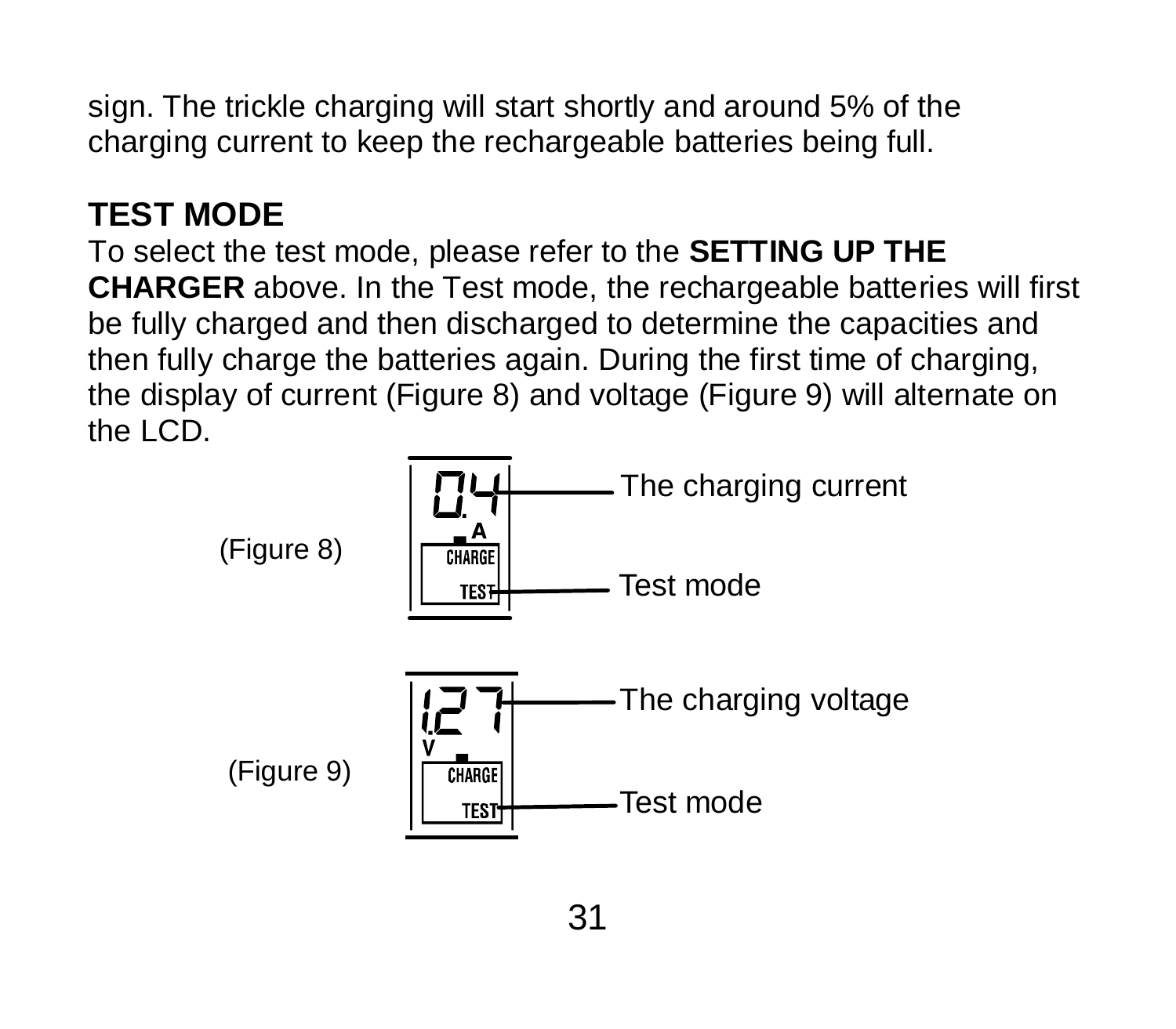sign. The trickle charging will start shortly and around 5% of the charging current to keep the rechargeable batteries being full.

### **TEST MODE**

To select the test mode, please refer to the **SETTING UP THE CHARGER** above. In the Test mode, the rechargeable batteries will first be fully charged and then discharged to determine the capacities and then fully charge the batteries again. During the first time of charging, the display of current (Figure 8) and voltage (Figure 9) will alternate on the LCD.

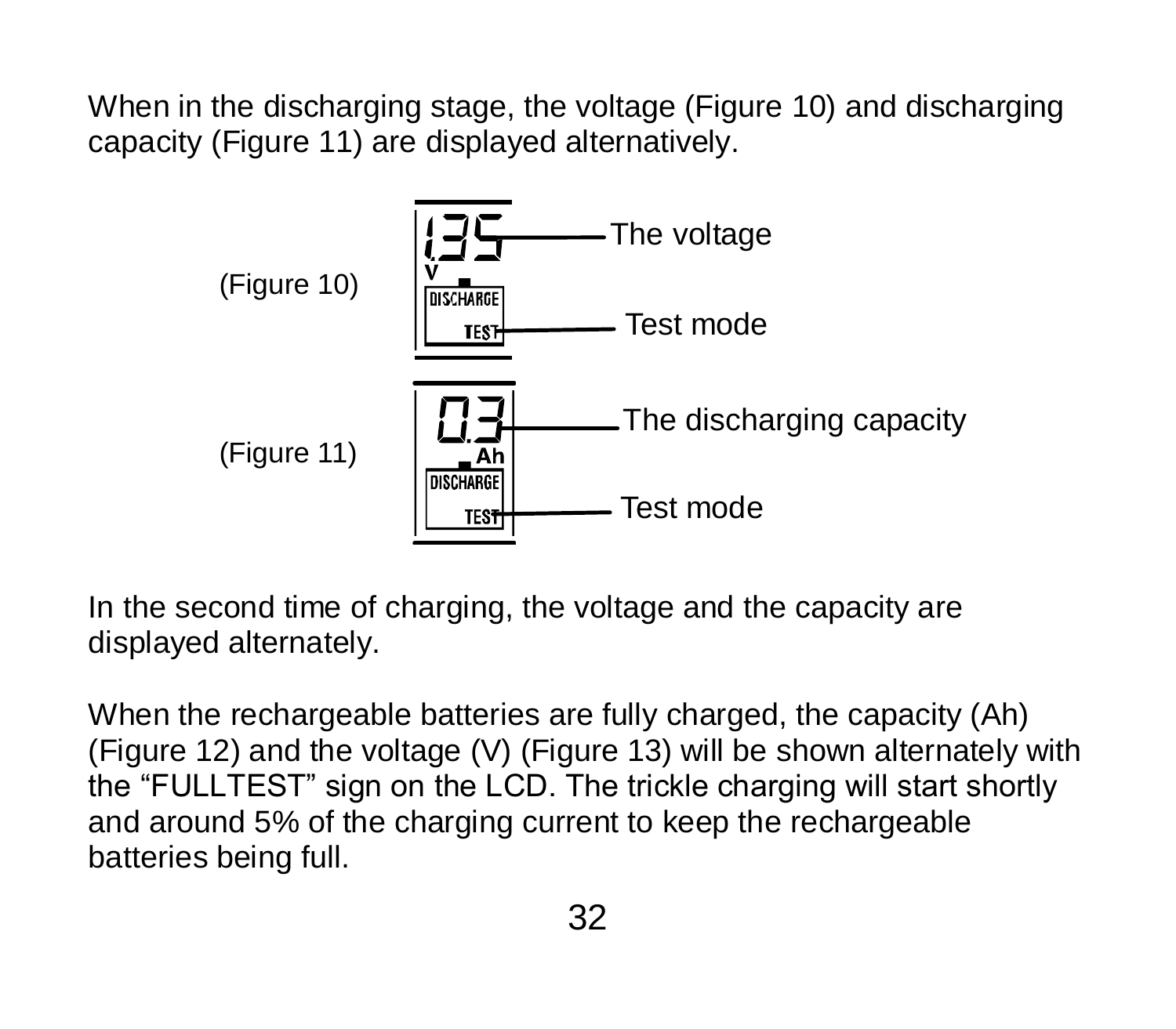When in the discharging stage, the voltage (Figure 10) and discharging capacity (Figure 11) are displayed alternatively.



In the second time of charging, the voltage and the capacity are displayed alternately.

When the rechargeable batteries are fully charged, the capacity (Ah) (Figure 12) and the voltage (V) (Figure 13) will be shown alternately with the "FULLTEST" sign on the LCD. The trickle charging will start shortly and around 5% of the charging current to keep the rechargeable batteries being full.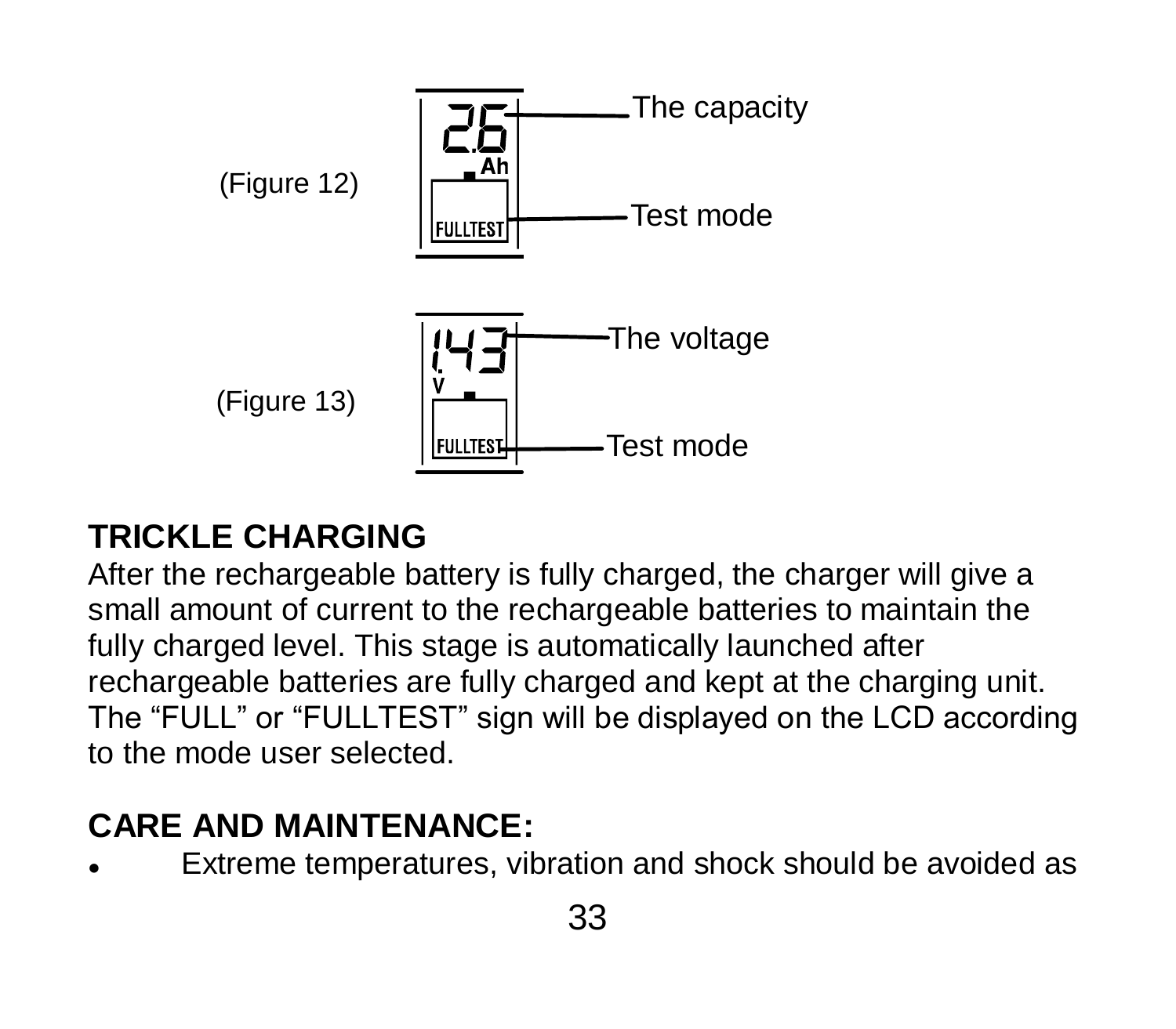

#### **TRICKLE CHARGING**

After the rechargeable battery is fully charged, the charger will give a small amount of current to the rechargeable batteries to maintain the fully charged level. This stage is automatically launched after rechargeable batteries are fully charged and kept at the charging unit. The "FULL" or "FULLTEST" sign will be displayed on the LCD according to the mode user selected.

## **CARE AND MAINTENANCE:**

Extreme temperatures, vibration and shock should be avoided as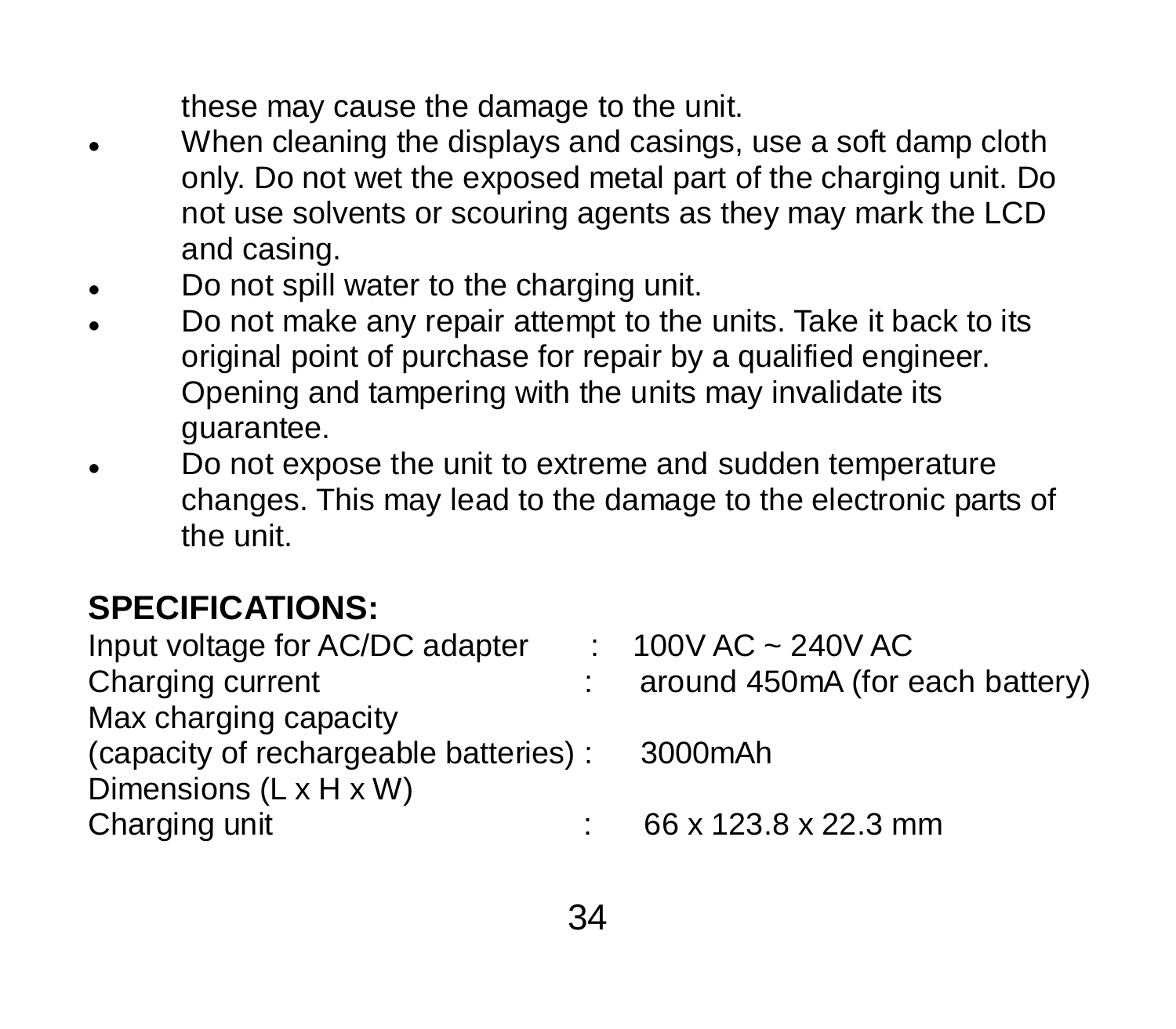these may cause the damage to the unit.

- When cleaning the displays and casings, use a soft damp cloth only. Do not wet the exposed metal part of the charging unit. Do not use solvents or scouring agents as they may mark the LCD and casing.
- Do not spill water to the charging unit.
- Do not make any repair attempt to the units. Take it back to its original point of purchase for repair by a qualified engineer. Opening and tampering with the units may invalidate its guarantee.
- Do not expose the unit to extreme and sudden temperature changes. This may lead to the damage to the electronic parts of the unit.

#### **SPECIFICATIONS:**

| Input voltage for AC/DC adapter        | $: 100V$ AC ~ 240V AC           |
|----------------------------------------|---------------------------------|
| Charging current                       | around 450mA (for each battery) |
| Max charging capacity                  |                                 |
| (capacity of rechargeable batteries) : | 3000mAh                         |
| Dimensions $(L \times H \times W)$     |                                 |
| Charging unit                          | 66 x 123.8 x 22.3 mm            |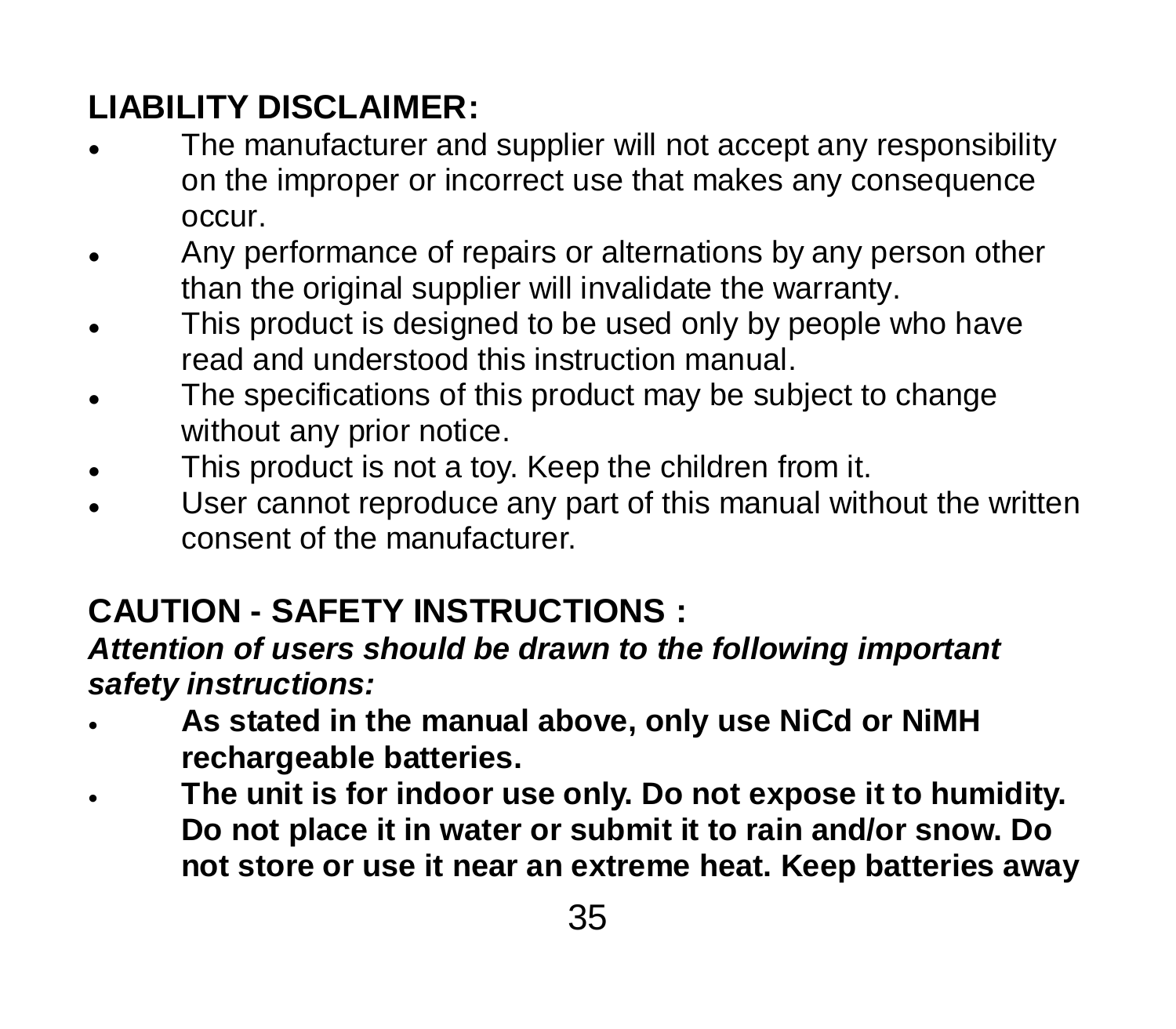### **LIABILITY DISCLAIMER:**

- The manufacturer and supplier will not accept any responsibility on the improper or incorrect use that makes any consequence occur.
- Any performance of repairs or alternations by any person other than the original supplier will invalidate the warranty.
- This product is designed to be used only by people who have read and understood this instruction manual.
- The specifications of this product may be subject to change without any prior notice.
- This product is not a toy. Keep the children from it.
- User cannot reproduce any part of this manual without the written consent of the manufacturer.

## **CAUTION - SAFETY INSTRUCTIONS :**

#### *Attention of users should be drawn to the following important safety instructions:*

- **As stated in the manual above, only use NiCd or NiMH rechargeable batteries.**
- **The unit is for indoor use only. Do not expose it to humidity. Do not place it in water or submit it to rain and/or snow. Do not store or use it near an extreme heat. Keep batteries away**